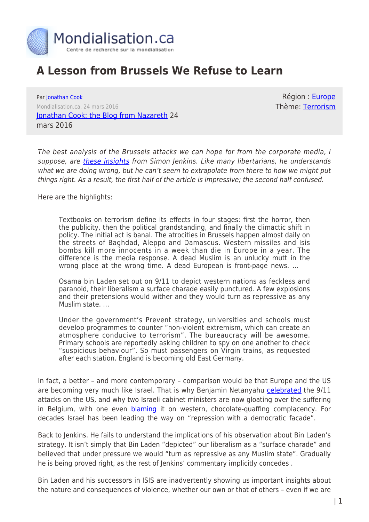

## **A Lesson from Brussels We Refuse to Learn**

Par [Jonathan Cook](https://www.mondialisation.ca/author/jonathan-cook) Mondialisation.ca, 24 mars 2016 [Jonathan Cook: the Blog from Nazareth](http://www.jonathan-cook.net/blog/2016-03-24/a-lesson-from-brussels-we-refuse-to-learn/) 24 mars 2016

Région : [Europe](https://www.mondialisation.ca/region/europe) Thème: [Terrorism](https://www.mondialisation.ca/theme/9-11-war-on-terrorism)

The best analysis of the Brussels attacks we can hope for from the corporate media, I suppose, are [these insights](http://www.theguardian.com/commentisfree/2016/mar/24/scariest-brussels-reactoin-paranoid-politicians-isis-atrocity-belgium) from Simon Jenkins. Like many libertarians, he understands what we are doing wrong, but he can't seem to extrapolate from there to how we might put things right. As a result, the first half of the article is impressive; the second half confused.

Here are the highlights:

Textbooks on terrorism define its effects in four stages: first the horror, then the publicity, then the political grandstanding, and finally the climactic shift in policy. The initial act is banal. The atrocities in Brussels happen almost daily on the streets of Baghdad, Aleppo and Damascus. Western missiles and Isis bombs kill more innocents in a week than die in Europe in a year. The difference is the media response. A dead Muslim is an unlucky mutt in the wrong place at the wrong time. A dead European is front-page news. …

Osama bin Laden set out on 9/11 to depict western nations as feckless and paranoid, their liberalism a surface charade easily punctured. A few explosions and their pretensions would wither and they would turn as repressive as any Muslim state. …

Under the government's Prevent strategy, universities and schools must develop programmes to counter "non-violent extremism, which can create an atmosphere conducive to terrorism". The bureaucracy will be awesome. Primary schools are reportedly asking children to spy on one another to check "suspicious behaviour". So must passengers on Virgin trains, as requested after each station. England is becoming old East Germany.

In fact, a better – and more contemporary – comparison would be that Europe and the US are becoming very much like Israel. That is why Benjamin Netanyahu [celebrated](http://www.haaretz.com/news/report-netanyahu-says-9-11-terror-attacks-good-for-israel-1.244044) the 9/11 attacks on the US, and why two Israeli cabinet ministers are now gloating over the suffering in Belgium, with one even **blaming** it on western, chocolate-quaffing complacency. For decades Israel has been leading the way on "repression with a democratic facade".

Back to Jenkins. He fails to understand the implications of his observation about Bin Laden's strategy. It isn't simply that Bin Laden "depicted" our liberalism as a "surface charade" and believed that under pressure we would "turn as repressive as any Muslim state". Gradually he is being proved right, as the rest of Jenkins' commentary implicitly concedes .

Bin Laden and his successors in ISIS are inadvertently showing us important insights about the nature and consequences of violence, whether our own or that of others – even if we are